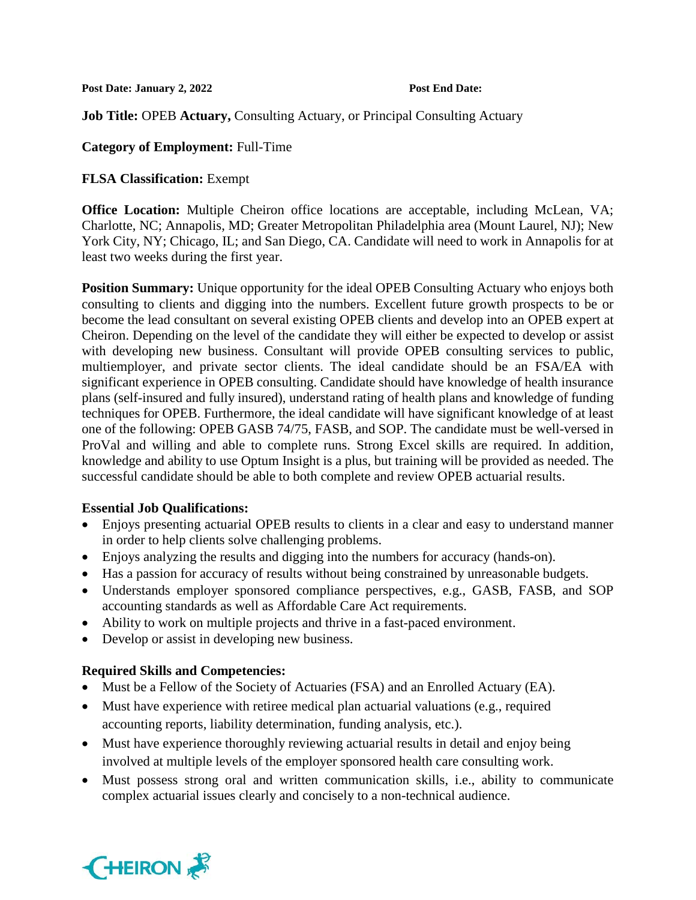Post Date: January 2, 2022 Post End Date:

**Job Title:** OPEB **Actuary,** Consulting Actuary, or Principal Consulting Actuary

## **Category of Employment:** Full-Time

# **FLSA Classification:** Exempt

**Office Location:** Multiple Cheiron office locations are acceptable, including McLean, VA; Charlotte, NC; Annapolis, MD; Greater Metropolitan Philadelphia area (Mount Laurel, NJ); New York City, NY; Chicago, IL; and San Diego, CA. Candidate will need to work in Annapolis for at least two weeks during the first year.

**Position Summary:** Unique opportunity for the ideal OPEB Consulting Actuary who enjoys both consulting to clients and digging into the numbers. Excellent future growth prospects to be or become the lead consultant on several existing OPEB clients and develop into an OPEB expert at Cheiron. Depending on the level of the candidate they will either be expected to develop or assist with developing new business. Consultant will provide OPEB consulting services to public, multiemployer, and private sector clients. The ideal candidate should be an FSA/EA with significant experience in OPEB consulting. Candidate should have knowledge of health insurance plans (self-insured and fully insured), understand rating of health plans and knowledge of funding techniques for OPEB. Furthermore, the ideal candidate will have significant knowledge of at least one of the following: OPEB GASB 74/75, FASB, and SOP. The candidate must be well-versed in ProVal and willing and able to complete runs. Strong Excel skills are required. In addition, knowledge and ability to use Optum Insight is a plus, but training will be provided as needed. The successful candidate should be able to both complete and review OPEB actuarial results.

## **Essential Job Qualifications:**

- Enjoys presenting actuarial OPEB results to clients in a clear and easy to understand manner in order to help clients solve challenging problems.
- Enjoys analyzing the results and digging into the numbers for accuracy (hands-on).
- Has a passion for accuracy of results without being constrained by unreasonable budgets.
- Understands employer sponsored compliance perspectives, e.g., GASB, FASB, and SOP accounting standards as well as Affordable Care Act requirements.
- Ability to work on multiple projects and thrive in a fast-paced environment.
- Develop or assist in developing new business.

# **Required Skills and Competencies:**

- Must be a Fellow of the Society of Actuaries (FSA) and an Enrolled Actuary (EA).
- Must have experience with retiree medical plan actuarial valuations (e.g., required accounting reports, liability determination, funding analysis, etc.).
- Must have experience thoroughly reviewing actuarial results in detail and enjoy being involved at multiple levels of the employer sponsored health care consulting work.
- Must possess strong oral and written communication skills, i.e., ability to communicate complex actuarial issues clearly and concisely to a non-technical audience.

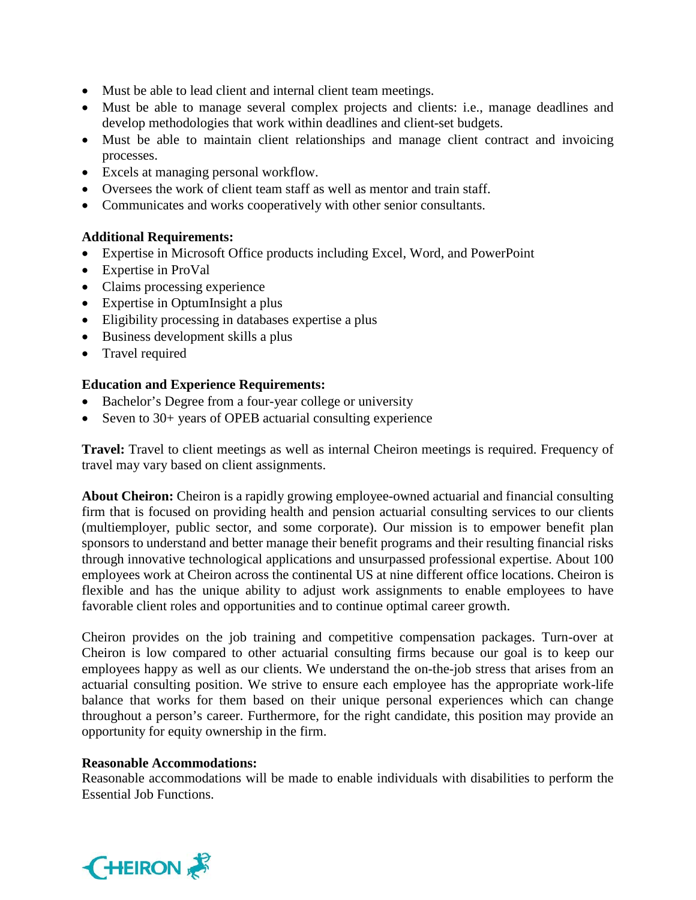- Must be able to lead client and internal client team meetings.
- Must be able to manage several complex projects and clients: i.e., manage deadlines and develop methodologies that work within deadlines and client-set budgets.
- Must be able to maintain client relationships and manage client contract and invoicing processes.
- Excels at managing personal workflow.
- Oversees the work of client team staff as well as mentor and train staff.
- Communicates and works cooperatively with other senior consultants.

# **Additional Requirements:**

- Expertise in Microsoft Office products including Excel, Word, and PowerPoint
- Expertise in ProVal
- Claims processing experience
- Expertise in OptumInsight a plus
- Eligibility processing in databases expertise a plus
- Business development skills a plus
- Travel required

# **Education and Experience Requirements:**

- Bachelor's Degree from a four-year college or university
- Seven to 30+ years of OPEB actuarial consulting experience

**Travel:** Travel to client meetings as well as internal Cheiron meetings is required. Frequency of travel may vary based on client assignments.

**About Cheiron:** Cheiron is a rapidly growing employee-owned actuarial and financial consulting firm that is focused on providing health and pension actuarial consulting services to our clients (multiemployer, public sector, and some corporate). Our mission is to empower benefit plan sponsors to understand and better manage their benefit programs and their resulting financial risks through innovative technological applications and unsurpassed professional expertise. About 100 employees work at Cheiron across the continental US at nine different office locations. Cheiron is flexible and has the unique ability to adjust work assignments to enable employees to have favorable client roles and opportunities and to continue optimal career growth.

Cheiron provides on the job training and competitive compensation packages. Turn-over at Cheiron is low compared to other actuarial consulting firms because our goal is to keep our employees happy as well as our clients. We understand the on-the-job stress that arises from an actuarial consulting position. We strive to ensure each employee has the appropriate work-life balance that works for them based on their unique personal experiences which can change throughout a person's career. Furthermore, for the right candidate, this position may provide an opportunity for equity ownership in the firm.

## **Reasonable Accommodations:**

Reasonable accommodations will be made to enable individuals with disabilities to perform the Essential Job Functions.